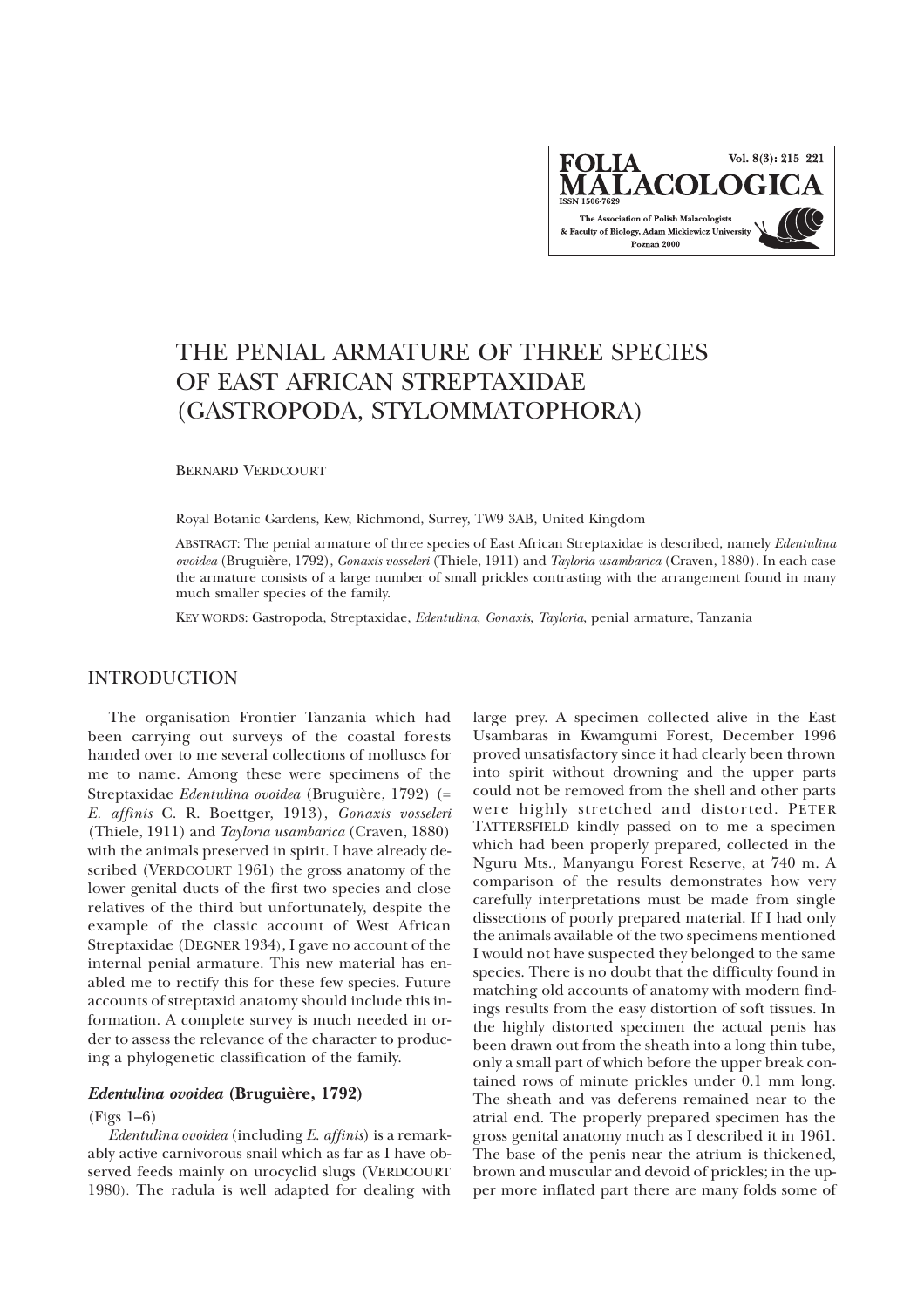Vol. 8(3): 215-221 **FOLIA** MALACOLOGICA The Association of Polish Malacologists & Faculty of Biology, Adam Mickiewicz University Poznań 2000

# THE PENIAL ARMATURE OF THREE SPECIES OF EAST AFRICAN STREPTAXIDAE (GASTROPODA, STYLOMMATOPHORA)

BERNARD VERDCOURT

Royal Botanic Gardens, Kew, Richmond, Surrey, TW9 3AB, United Kingdom

ABSTRACT: The penial armature of three species of East African Streptaxidae is described, namely *Edentulina ovoidea* (Bruguière, 1792), *Gonaxis vosseleri* (Thiele, 1911) and *Tayloria usambarica* (Craven, 1880). In each case the armature consists of a large number of small prickles contrasting with the arrangement found in many much smaller species of the family.

KEY WORDS: Gastropoda, Streptaxidae, *Edentulina*, *Gonaxis*, *Tayloria*, penial armature, Tanzania

## INTRODUCTION

The organisation Frontier Tanzania which had been carrying out surveys of the coastal forests handed over to me several collections of molluscs for me to name. Among these were specimens of the Streptaxidae *Edentulina ovoidea* (Bruguière, 1792) (= *E. affinis* C. R. Boettger, 1913), *Gonaxis vosseleri* (Thiele, 1911) and *Tayloria usambarica* (Craven, 1880) with the animals preserved in spirit. I have already described (VERDCOURT 1961) the gross anatomy of the lower genital ducts of the first two species and close relatives of the third but unfortunately, despite the example of the classic account of West African Streptaxidae (DEGNER 1934), I gave no account of the internal penial armature. This new material has enabled me to rectify this for these few species. Future accounts of streptaxid anatomy should include this information. A complete survey is much needed in order to assess the relevance of the character to producing a phylogenetic classification of the family.

## *Edentulina ovoidea* **(Brugui**è**re, 1792)**

#### (Figs 1–6)

*Edentulina ovoidea* (including *E. affinis*) is a remarkably active carnivorous snail which as far as I have observed feeds mainly on urocyclid slugs (VERDCOURT 1980). The radula is well adapted for dealing with

large prey. A specimen collected alive in the East Usambaras in Kwamgumi Forest, December 1996 proved unsatisfactory since it had clearly been thrown into spirit without drowning and the upper parts could not be removed from the shell and other parts were highly stretched and distorted. PETER TATTERSFIELD kindly passed on to me a specimen which had been properly prepared, collected in the Nguru Mts., Manyangu Forest Reserve, at 740 m. A comparison of the results demonstrates how very carefully interpretations must be made from single dissections of poorly prepared material. If I had only the animals available of the two specimens mentioned I would not have suspected they belonged to the same species. There is no doubt that the difficulty found in matching old accounts of anatomy with modern findings results from the easy distortion of soft tissues. In the highly distorted specimen the actual penis has been drawn out from the sheath into a long thin tube, only a small part of which before the upper break contained rows of minute prickles under 0.1 mm long. The sheath and vas deferens remained near to the atrial end. The properly prepared specimen has the gross genital anatomy much as I described it in 1961. The base of the penis near the atrium is thickened, brown and muscular and devoid of prickles; in the upper more inflated part there are many folds some of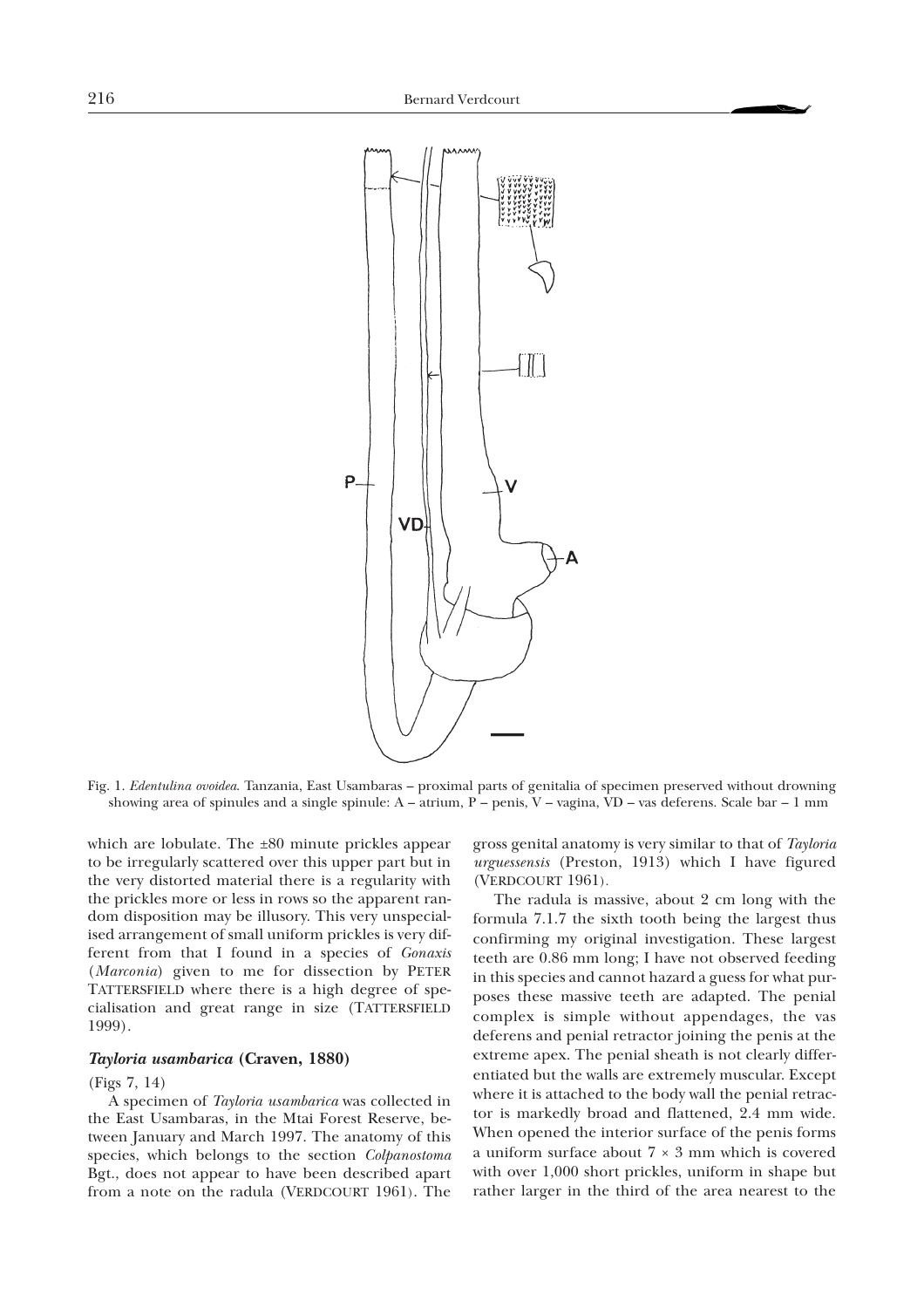

Fig. 1. *Edentulina ovoidea*. Tanzania, East Usambaras – proximal parts of genitalia of specimen preserved without drowning showing area of spinules and a single spinule: A – atrium, P – penis, V – vagina, VD – vas deferens. Scale bar – 1 mm

which are lobulate. The  $\pm 80$  minute prickles appear to be irregularly scattered over this upper part but in the very distorted material there is a regularity with the prickles more or less in rows so the apparent random disposition may be illusory. This very unspecialised arrangement of small uniform prickles is very different from that I found in a species of *Gonaxis* (*Marconia*) given to me for dissection by PETER TATTERSFIELD where there is a high degree of specialisation and great range in size (TATTERSFIELD 1999).

#### *Tayloria usambarica* **(Craven, 1880)**

#### (Figs 7, 14)

A specimen of *Tayloria usambarica* was collected in the East Usambaras, in the Mtai Forest Reserve, between January and March 1997. The anatomy of this species, which belongs to the section *Colpanostoma* Bgt., does not appear to have been described apart from a note on the radula (VERDCOURT 1961). The gross genital anatomy is very similar to that of *Tayloria urguessensis* (Preston, 1913) which I have figured (VERDCOURT 1961).

The radula is massive, about 2 cm long with the formula 7.1.7 the sixth tooth being the largest thus confirming my original investigation. These largest teeth are 0.86 mm long; I have not observed feeding in this species and cannot hazard a guess for what purposes these massive teeth are adapted. The penial complex is simple without appendages, the vas deferens and penial retractor joining the penis at the extreme apex. The penial sheath is not clearly differentiated but the walls are extremely muscular. Except where it is attached to the body wall the penial retractor is markedly broad and flattened, 2.4 mm wide. When opened the interior surface of the penis forms a uniform surface about  $7 \times 3$  mm which is covered with over 1,000 short prickles, uniform in shape but rather larger in the third of the area nearest to the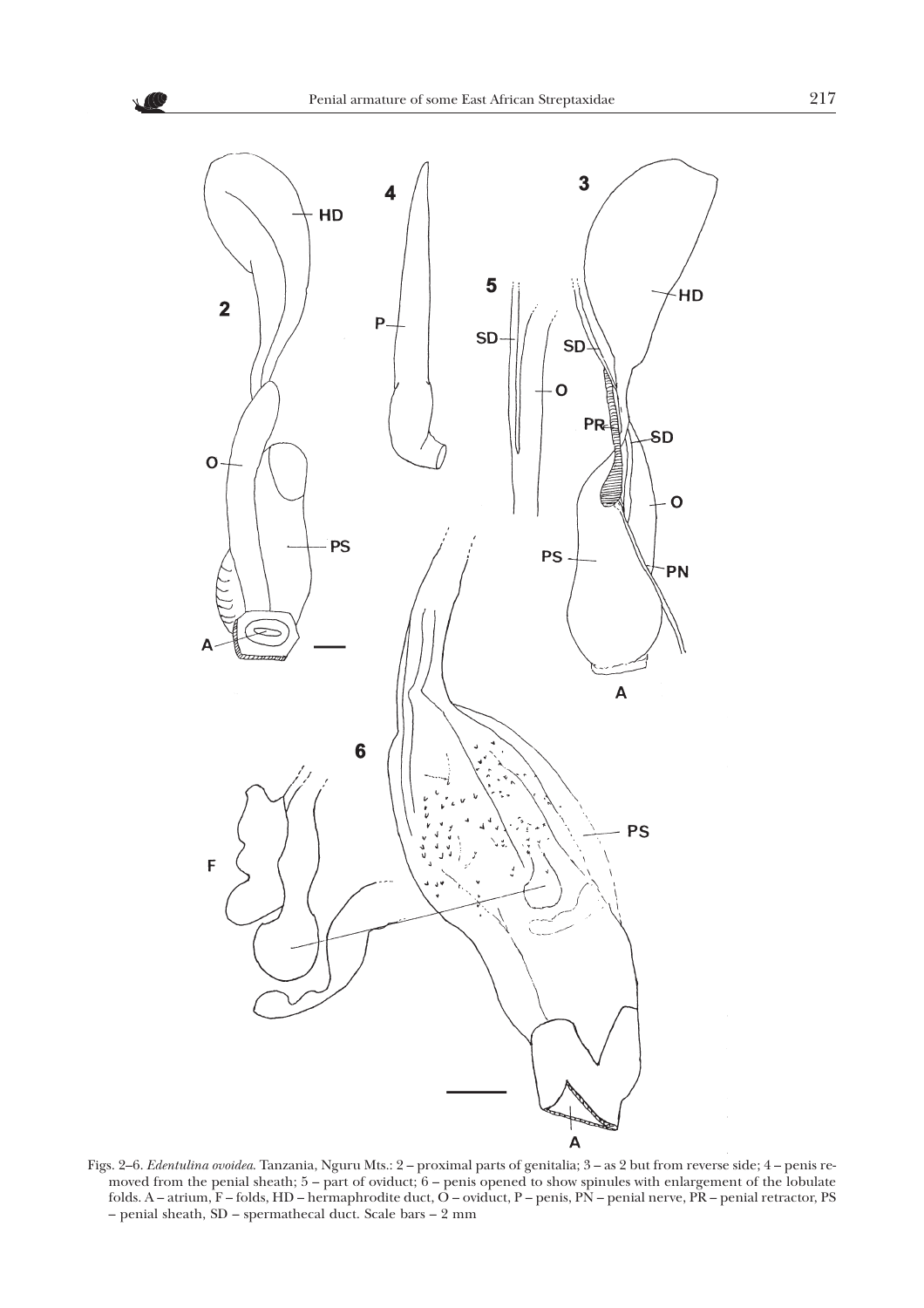

Figs. 2–6. *Edentulina ovoidea*. Tanzania, Nguru Mts.: 2 – proximal parts of genitalia; 3 – as 2 but from reverse side; 4 – penis removed from the penial sheath; 5 – part of oviduct; 6 – penis opened to show spinules with enlargement of the lobulate folds. A – atrium, F – folds, HD – hermaphrodite duct, O – oviduct, P – penis, PN – penial nerve, PR – penial retractor, PS – penial sheath, SD – spermathecal duct. Scale bars – 2 mm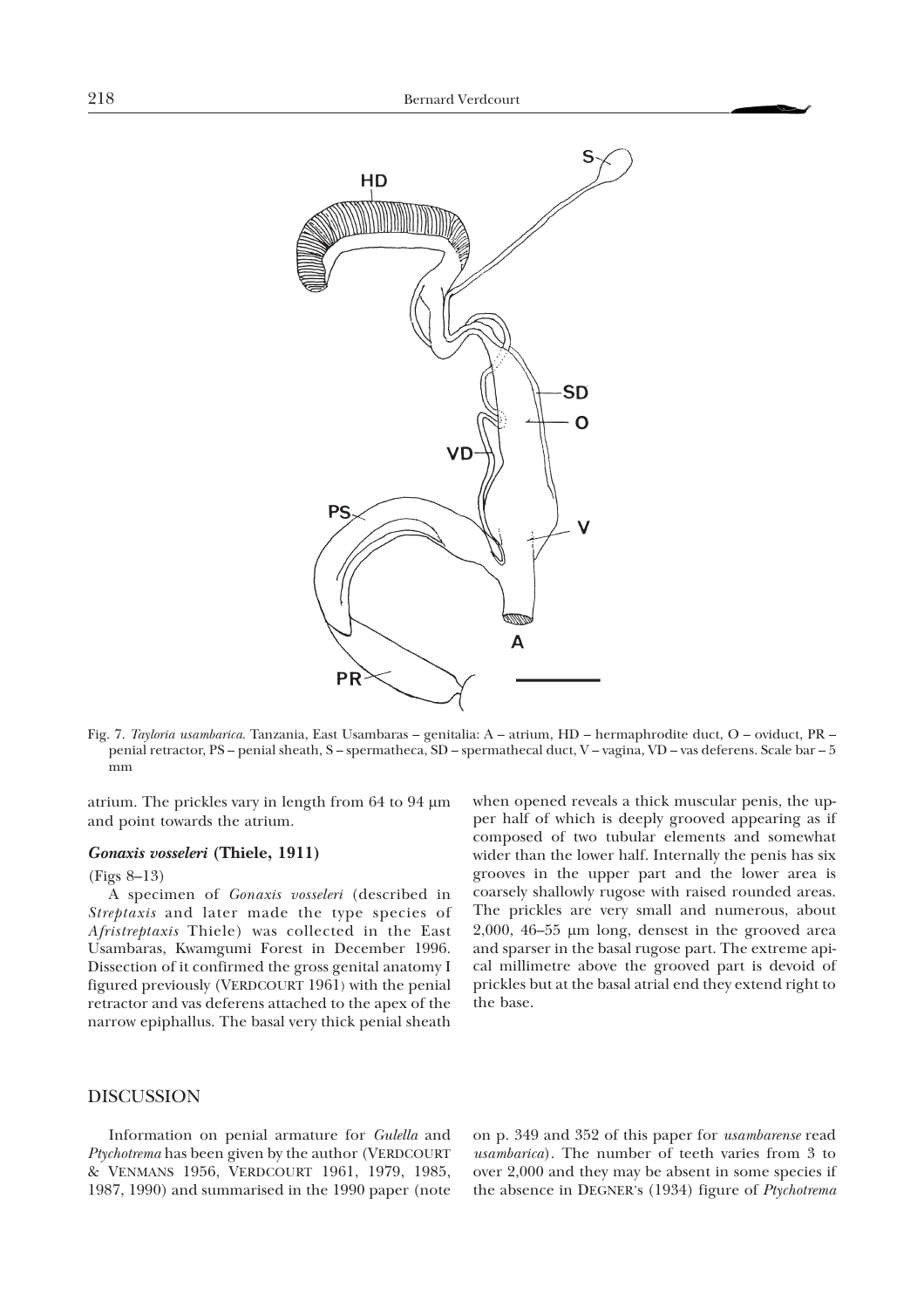

Fig. 7. *Tayloria usambarica*. Tanzania, East Usambaras – genitalia: A – atrium, HD – hermaphrodite duct, O – oviduct, PR – penial retractor, PS – penial sheath, S – spermatheca, SD – spermathecal duct, V – vagina, VD – vas deferens. Scale bar – 5 mm

atrium. The prickles vary in length from  $64$  to  $94 \mu m$ and point towards the atrium.

#### *Gonaxis vosseleri* **(Thiele, 1911)**

#### (Figs 8–13)

A specimen of *Gonaxis vosseleri* (described in *Streptaxis* and later made the type species of *Afristreptaxis* Thiele) was collected in the East Usambaras, Kwamgumi Forest in December 1996. Dissection of it confirmed the gross genital anatomy I figured previously (VERDCOURT 1961) with the penial retractor and vas deferens attached to the apex of the narrow epiphallus. The basal very thick penial sheath

when opened reveals a thick muscular penis, the upper half of which is deeply grooved appearing as if composed of two tubular elements and somewhat wider than the lower half. Internally the penis has six grooves in the upper part and the lower area is coarsely shallowly rugose with raised rounded areas. The prickles are very small and numerous, about  $2,000$ ,  $46-55$  µm long, densest in the grooved area and sparser in the basal rugose part. The extreme apical millimetre above the grooved part is devoid of prickles but at the basal atrial end they extend right to the base.

## DISCUSSION

Information on penial armature for *Gulella* and *Ptychotrema* has been given by the author (VERDCOURT & VENMANS 1956, VERDCOURT 1961, 1979, 1985, 1987, 1990) and summarised in the 1990 paper (note

on p. 349 and 352 of this paper for *usambarense* read *usambarica*). The number of teeth varies from 3 to over 2,000 and they may be absent in some species if the absence in DEGNER's (1934) figure of *Ptychotrema*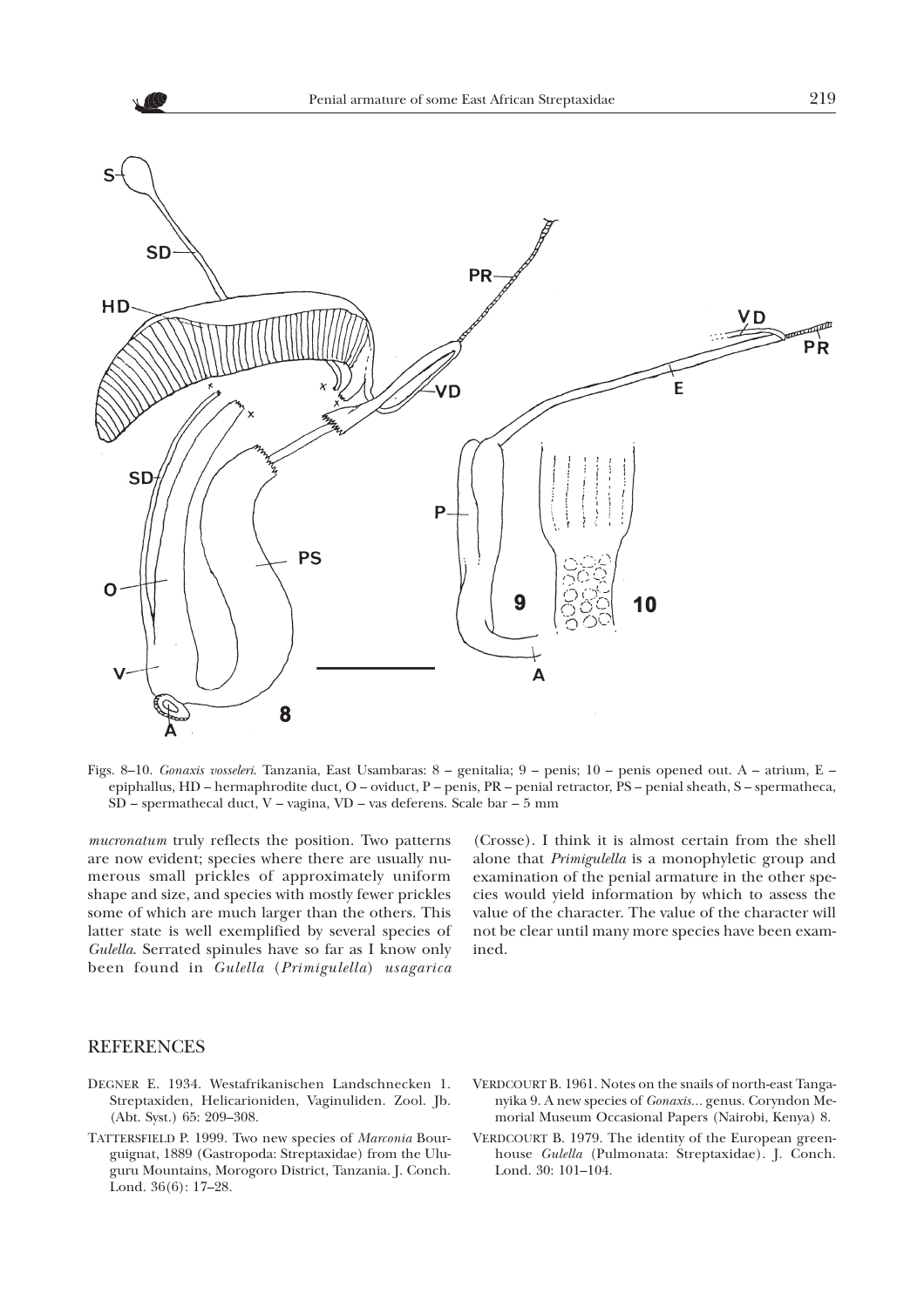

Figs. 8–10. *Gonaxis vosseleri*. Tanzania, East Usambaras: 8 – genitalia; 9 – penis; 10 – penis opened out. A – atrium, E – epiphallus, HD – hermaphrodite duct, O – oviduct, P – penis, PR – penial retractor, PS – penial sheath, S – spermatheca, SD – spermathecal duct, V – vagina, VD – vas deferens. Scale bar – 5 mm

*mucronatum* truly reflects the position. Two patterns are now evident; species where there are usually numerous small prickles of approximately uniform shape and size, and species with mostly fewer prickles some of which are much larger than the others. This latter state is well exemplified by several species of *Gulella*. Serrated spinules have so far as I know only been found in *Gulella* (*Primigulella*) *usagarica*

(Crosse). I think it is almost certain from the shell alone that *Primigulella* is a monophyletic group and examination of the penial armature in the other species would yield information by which to assess the value of the character. The value of the character will not be clear until many more species have been examined.

## **REFERENCES**

- DEGNER E. 1934. Westafrikanischen Landschnecken 1. Streptaxiden, Helicarioniden, Vaginuliden. Zool. Jb. (Abt. Syst.) 65: 209–308.
- TATTERSFIELD P. 1999. Two new species of *Marconia* Bourguignat, 1889 (Gastropoda: Streptaxidae) from the Uluguru Mountains, Morogoro District, Tanzania. J. Conch. Lond. 36(6): 17–28.
- VERDCOURT B. 1961. Notes on the snails of north-east Tanganyika 9. A new species of *Gonaxis...* genus. Coryndon Memorial Museum Occasional Papers (Nairobi, Kenya) 8.
- VERDCOURT B. 1979. The identity of the European greenhouse *Gulella* (Pulmonata: Streptaxidae). J. Conch. Lond. 30: 101–104.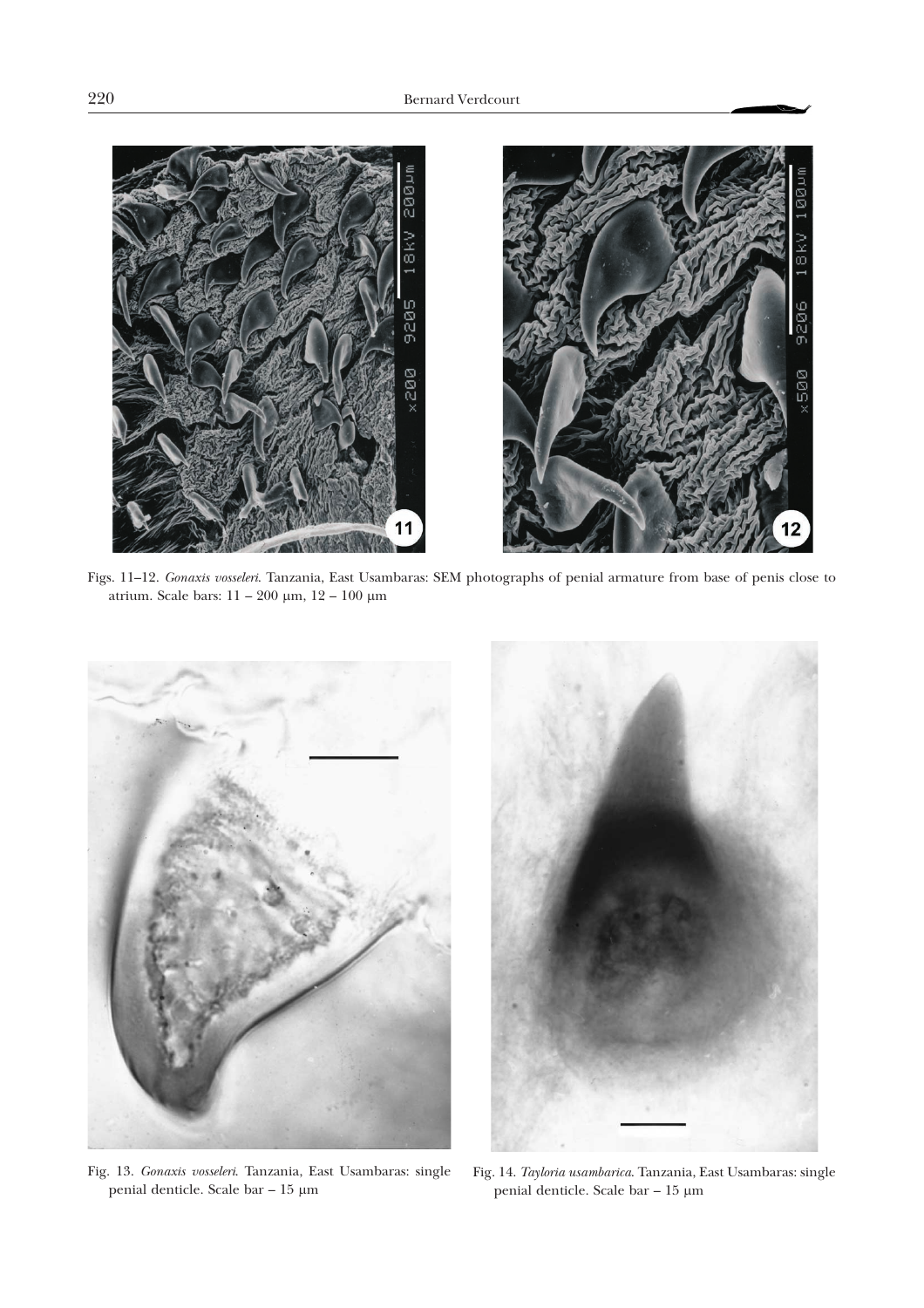

Figs. 11–12. *Gonaxis vosseleri*. Tanzania, East Usambaras: SEM photographs of penial armature from base of penis close to atrium. Scale bars:  $11 - 200 \mu m$ ,  $12 - 100 \mu m$ 



Fig. 13. *Gonaxis vosseleri*. Tanzania, East Usambaras: single penial denticle. Scale bar – 15 m



Fig. 14. *Tayloria usambarica*. Tanzania, East Usambaras: single penial denticle. Scale bar  $-$  15  $\upmu \textrm{m}$